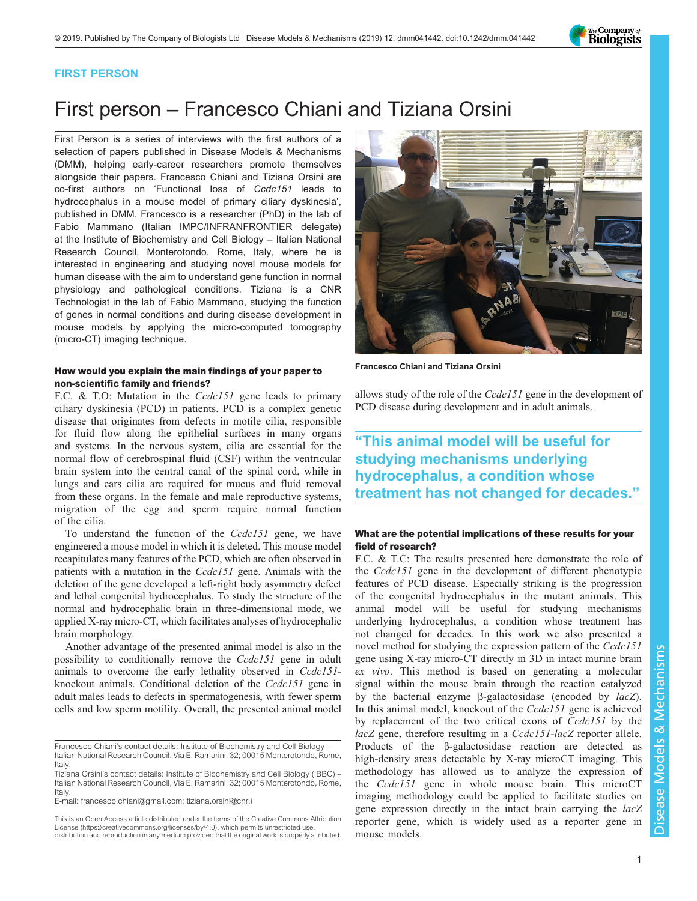

### FIRST PERSON

# First person – Francesco Chiani and Tiziana Orsini

First Person is a series of interviews with the first authors of a selection of papers published in Disease Models & Mechanisms (DMM), helping early-career researchers promote themselves alongside their papers. Francesco Chiani and Tiziana Orsini are co-first authors on '[Functional](#page-2-0) loss of Ccdc151 leads to [hydrocephalus in a mouse model of primary ciliary dyskinesia](#page-2-0)', published in DMM. Francesco is a researcher (PhD) in the lab of Fabio Mammano (Italian IMPC/INFRANFRONTIER delegate) at the Institute of Biochemistry and Cell Biology – Italian National Research Council, Monterotondo, Rome, Italy, where he is interested in engineering and studying novel mouse models for human disease with the aim to understand gene function in normal physiology and pathological conditions. Tiziana is a CNR Technologist in the lab of Fabio Mammano, studying the function of genes in normal conditions and during disease development in mouse models by applying the micro-computed tomography (micro-CT) imaging technique.

#### How would you explain the main findings of your paper to non-scientific family and friends?

F.C. & T.O: Mutation in the Ccdc151 gene leads to primary ciliary dyskinesia (PCD) in patients. PCD is a complex genetic disease that originates from defects in motile cilia, responsible for fluid flow along the epithelial surfaces in many organs and systems. In the nervous system, cilia are essential for the normal flow of cerebrospinal fluid (CSF) within the ventricular brain system into the central canal of the spinal cord, while in lungs and ears cilia are required for mucus and fluid removal from these organs. In the female and male reproductive systems, migration of the egg and sperm require normal function of the cilia.

To understand the function of the Ccdc151 gene, we have engineered a mouse model in which it is deleted. This mouse model recapitulates many features of the PCD, which are often observed in patients with a mutation in the Ccdc151 gene. Animals with the deletion of the gene developed a left-right body asymmetry defect and lethal congenital hydrocephalus. To study the structure of the normal and hydrocephalic brain in three-dimensional mode, we applied X-ray micro-CT, which facilitates analyses of hydrocephalic brain morphology.

Another advantage of the presented animal model is also in the possibility to conditionally remove the Ccdc151 gene in adult animals to overcome the early lethality observed in Ccdc151knockout animals. Conditional deletion of the Ccdc151 gene in adult males leads to defects in spermatogenesis, with fewer sperm cells and low sperm motility. Overall, the presented animal model

E-mail: [francesco.chiani@gmail.com](mailto:francesco.chiani@gmail.com); [tiziana.orsini@cnr.i](mailto:tiziana.orsini@cnr.i)



Francesco Chiani and Tiziana Orsini

allows study of the role of the Ccdc151 gene in the development of PCD disease during development and in adult animals.

## "This animal model will be useful for studying mechanisms underlying hydrocephalus, a condition whose treatment has not changed for decades."

#### What are the potential implications of these results for your field of research?

F.C. & T.C: The results presented here demonstrate the role of the Ccdc151 gene in the development of different phenotypic features of PCD disease. Especially striking is the progression of the congenital hydrocephalus in the mutant animals. This animal model will be useful for studying mechanisms underlying hydrocephalus, a condition whose treatment has not changed for decades. In this work we also presented a novel method for studying the expression pattern of the Ccdc151 gene using X-ray micro-CT directly in 3D in intact murine brain ex vivo. This method is based on generating a molecular signal within the mouse brain through the reaction catalyzed by the bacterial enzyme β-galactosidase (encoded by lacZ). In this animal model, knockout of the Ccdc151 gene is achieved by replacement of the two critical exons of Ccdc151 by the lacZ gene, therefore resulting in a Ccdc151-lacZ reporter allele. Products of the β-galactosidase reaction are detected as high-density areas detectable by X-ray microCT imaging. This methodology has allowed us to analyze the expression of the Ccdc151 gene in whole mouse brain. This microCT imaging methodology could be applied to facilitate studies on gene expression directly in the intact brain carrying the lacZ reporter gene, which is widely used as a reporter gene in mouse models.

Francesco Chiani's contact details: Institute of Biochemistry and Cell Biology – Italian National Research Council, Via E. Ramarini, 32; 00015 Monterotondo, Rome, Italy.

Tiziana Orsini's contact details: Institute of Biochemistry and Cell Biology (IBBC) – Italian National Research Council, Via E. Ramarini, 32; 00015 Monterotondo, Rome, Italy.

This is an Open Access article distributed under the terms of the Creative Commons Attribution License (https://creativecommons.org/licenses/by/4.0), which permits unrestricted use, distribution and reproduction in any medium provided that the original work is properly attributed.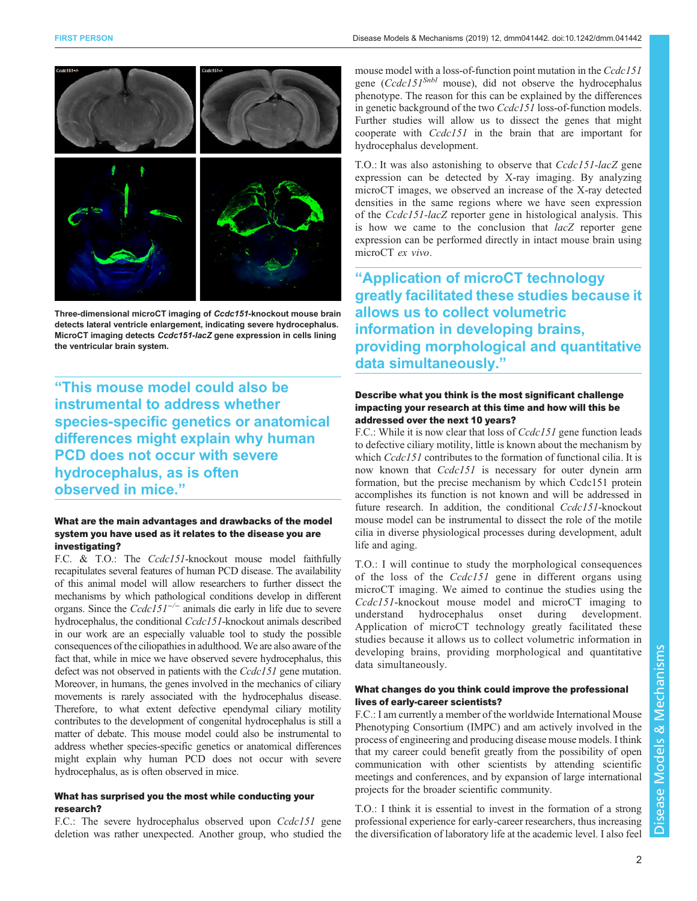

Three-dimensional microCT imaging of Ccdc151-knockout mouse brain detects lateral ventricle enlargement, indicating severe hydrocephalus. MicroCT imaging detects Ccdc151-lacZ gene expression in cells lining the ventricular brain system.

"This mouse model could also be instrumental to address whether species-specific genetics or anatomical differences might explain why human PCD does not occur with severe hydrocephalus, as is often observed in mice."

#### What are the main advantages and drawbacks of the model system you have used as it relates to the disease you are investigating?

F.C. & T.O.: The *Ccdc151*-knockout mouse model faithfully recapitulates several features of human PCD disease. The availability of this animal model will allow researchers to further dissect the mechanisms by which pathological conditions develop in different organs. Since the  $Ccdc151^{-/-}$  animals die early in life due to severe hydrocephalus, the conditional Ccdc151-knockout animals described in our work are an especially valuable tool to study the possible consequences of the ciliopathies in adulthood. We are also aware of the fact that, while in mice we have observed severe hydrocephalus, this defect was not observed in patients with the Ccdc151 gene mutation. Moreover, in humans, the genes involved in the mechanics of ciliary movements is rarely associated with the hydrocephalus disease. Therefore, to what extent defective ependymal ciliary motility contributes to the development of congenital hydrocephalus is still a matter of debate. This mouse model could also be instrumental to address whether species-specific genetics or anatomical differences might explain why human PCD does not occur with severe hydrocephalus, as is often observed in mice.

#### What has surprised you the most while conducting your research?

F.C.: The severe hydrocephalus observed upon *Ccdc151* gene deletion was rather unexpected. Another group, who studied the

mouse model with a loss-of-function point mutation in the Ccdc151 gene (Ccdc151<sup>Snbl</sup> mouse), did not observe the hydrocephalus phenotype. The reason for this can be explained by the differences in genetic background of the two Ccdc151 loss-of-function models. Further studies will allow us to dissect the genes that might cooperate with Ccdc151 in the brain that are important for hydrocephalus development.

T.O.: It was also astonishing to observe that Ccdc151-lacZ gene expression can be detected by X-ray imaging. By analyzing microCT images, we observed an increase of the X-ray detected densities in the same regions where we have seen expression of the Ccdc151-lacZ reporter gene in histological analysis. This is how we came to the conclusion that *lacZ* reporter gene expression can be performed directly in intact mouse brain using microCT ex vivo.

"Application of microCT technology greatly facilitated these studies because it allows us to collect volumetric information in developing brains, providing morphological and quantitative data simultaneously."

#### Describe what you think is the most significant challenge impacting your research at this time and how will this be addressed over the next 10 years?

F.C.: While it is now clear that loss of Ccdc151 gene function leads to defective ciliary motility, little is known about the mechanism by which *Ccdc151* contributes to the formation of functional cilia. It is now known that Ccdc151 is necessary for outer dynein arm formation, but the precise mechanism by which Ccdc151 protein accomplishes its function is not known and will be addressed in future research. In addition, the conditional Ccdc151-knockout mouse model can be instrumental to dissect the role of the motile cilia in diverse physiological processes during development, adult life and aging.

T.O.: I will continue to study the morphological consequences of the loss of the Ccdc151 gene in different organs using microCT imaging. We aimed to continue the studies using the Ccdc151-knockout mouse model and microCT imaging to understand hydrocephalus onset during development. Application of microCT technology greatly facilitated these studies because it allows us to collect volumetric information in developing brains, providing morphological and quantitative data simultaneously.

#### What changes do you think could improve the professional lives of early-career scientists?

F.C.: I am currently a member of the worldwide International Mouse Phenotyping Consortium (IMPC) and am actively involved in the process of engineering and producing disease mouse models. I think that my career could benefit greatly from the possibility of open communication with other scientists by attending scientific meetings and conferences, and by expansion of large international projects for the broader scientific community.

T.O.: I think it is essential to invest in the formation of a strong professional experience for early-career researchers, thus increasing the diversification of laboratory life at the academic level. I also feel